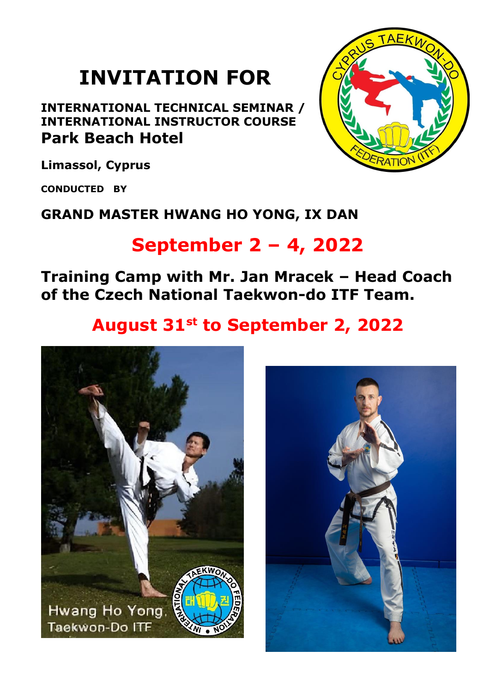# **INVITATION FOR**

**INTERNATIONAL TECHNICAL SEMINAR / INTERNATIONAL INSTRUCTOR COURSE Park Beach Hotel**



**Limassol, Cyprus**

**CONDUCTED BY**

### **GRAND MASTER HWANG HO YONG, IX DAN**

## **September 2 – 4, 2022**

**Training Camp with Mr. Jan Mracek – Head Coach of the Czech National Taekwon-do ITF Team.**

## **August 31st to September 2, 2022**



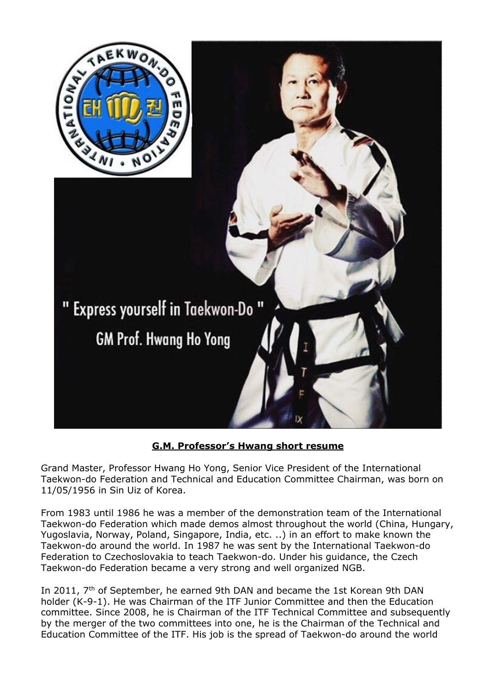

#### **G.M. Professor's Hwang short resume**

Grand Master, Professor Hwang Ho Yong, Senior Vice President of the International Taekwon-do Federation and Technical and Education Committee Chairman, was born on 11/05/1956 in Sin Uiz of Korea.

From 1983 until 1986 he was a member of the demonstration team of the International Taekwon-do Federation which made demos almost throughout the world (China, Hungary, Yugoslavia, Norway, Poland, Singapore, India, etc. ..) in an effort to make known the Taekwon-do around the world. In 1987 he was sent by the International Taekwon-do Federation to Czechoslovakia to teach Taekwon-do. Under his guidance, the Czech Taekwon-do Federation became a very strong and well organized NGB.

In 2011, 7<sup>th</sup> of September, he earned 9th DAN and became the 1st Korean 9th DAN holder (K-9-1). He was Chairman of the ITF Junior Committee and then the Education committee. Since 2008, he is Chairman of the ITF Technical Committee and subsequently by the merger of the two committees into one, he is the Chairman of the Technical and Education Committee of the ITF. His job is the spread of Taekwon-do around the world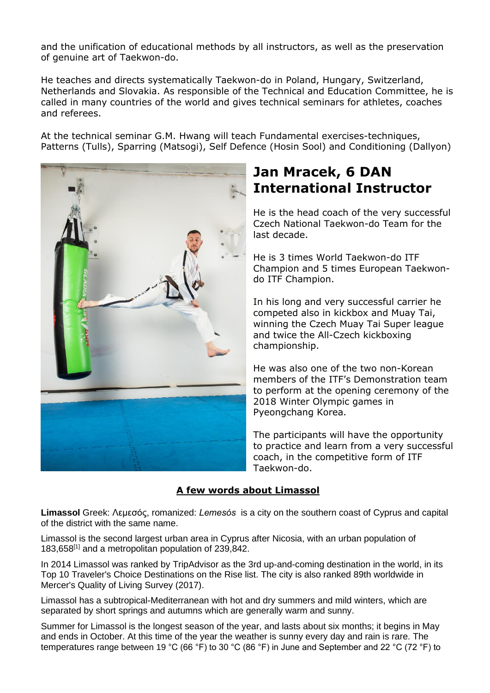and the unification of educational methods by all instructors, as well as the preservation of genuine art of Taekwon-do.

He teaches and directs systematically Taekwon-do in Poland, Hungary, Switzerland, Netherlands and Slovakia. As responsible of the Technical and Education Committee, he is called in many countries of the world and gives technical seminars for athletes, coaches and referees.

At the technical seminar G.M. Hwang will teach Fundamental exercises-techniques, Patterns (Tulls), Sparring (Matsogi), Self Defence (Hosin Sool) and Conditioning (Dallyon)



### **Jan Mracek, 6 DAN International Instructor**

He is the head coach of the very successful Czech National Taekwon-do Team for the last decade.

He is 3 times World Taekwon-do ITF Champion and 5 times European Taekwondo ITF Champion.

In his long and very successful carrier he competed also in kickbox and Muay Tai, winning the Czech Muay Tai Super league and twice the All-Czech kickboxing championship.

He was also one of the two non-Korean members of the ITF's Demonstration team to perform at the opening ceremony of the 2018 Winter Olympic games in Pyeongchang Korea.

The participants will have the opportunity to practice and learn from a very successful coach, in the competitive form of ITF Taekwon-do.

#### **A few words about Limassol**

**Limassol** Greek: Λεμεσός, romanized: *Lemesós* is a city on the southern coast of Cyprus and capital of the district with the same name.

Limassol is the second largest urban area in Cyprus after Nicosia, with an urban population of 183,658[1] and a metropolitan population of 239,842.

In 2014 Limassol was ranked by TripAdvisor as the 3rd up-and-coming destination in the world, in its Top 10 Traveler's Choice Destinations on the Rise list. The city is also ranked 89th worldwide in Mercer's Quality of Living Survey (2017).

Limassol has a subtropical-Mediterranean with hot and dry summers and mild winters, which are separated by short springs and autumns which are generally warm and sunny.

Summer for Limassol is the longest season of the year, and lasts about six months; it begins in May and ends in October. At this time of the year the weather is sunny every day and rain is rare. The temperatures range between 19 °C (66 °F) to 30 °C (86 °F) in June and September and 22 °C (72 °F) to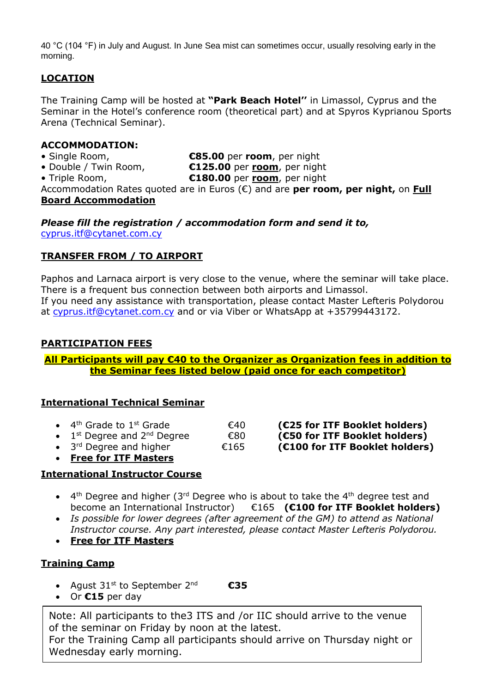40 °C (104 °F) in July and August. In June Sea mist can sometimes occur, usually resolving early in the morning.

#### **LOCATION**

The Training Camp will be hosted at **"Park Beach Hotel''** in Limassol, Cyprus and the Seminar in the Hotel's conference room (theoretical part) and at Spyros Kyprianou Sports Arena (Technical Seminar).

#### **ACCOMMODATION:**

- 
- Double / Twin Room, **€125.00** per **room**, per night

• Single Room, **€85.00** per **room**, per night

- 
- Triple Room, **€180.00** per **room**, per night

Accommodation Rates quoted are in Euros (€) and are **per room, per night,** on **Full Board Accommodation**

*Please fill the registration / accommodation form and send it to,* cyprus.itf@cytanet.com.cy

#### **TRANSFER FROM / TO AIRPORT**

Paphos and Larnaca airport is very close to the venue, where the seminar will take place. There is a frequent bus connection between both airports and Limassol. If you need any assistance with transportation, please contact Master Lefteris Polydorou at cyprus.itf@cytanet.com.cy and or via Viber or WhatsApp at +35799443172.

#### **PARTICIPATION FEES**

**All Participants will pay €40 to the Organizer as Organization fees in addition to the Seminar fees listed below (paid once for each competitor)**

#### **International Technical Seminar**

| 4 <sup>th</sup> Grade to 1 <sup>st</sup> Grade |                               |  |
|------------------------------------------------|-------------------------------|--|
| $\rightarrow$ $\rightarrow$ $\rightarrow$      | $\mathbf{r}$ and $\mathbf{r}$ |  |

 $\bullet$  1<sup>st</sup> Degree and 2<sup>nd</sup> Degree

3<sup>rd</sup> Degree and higher

• **Free for ITF Masters** 

#### **International Instructor Course**

- $4<sup>th</sup>$  Degree and higher (3<sup>rd</sup> Degree who is about to take the 4<sup>th</sup> degree test and become an International Instructor) €165 **(€100 for ITF Booklet holders)**
- *Is possible for lower degrees (after agreement of the GM) to attend as National Instructor course. Any part interested, please contact Master Lefteris Polydorou.*
- **Free for ITF Masters**

#### **Training Camp**

- Agust  $31^{st}$  to September  $2^{nd}$ **€35**
- Or **€15** per day

Note: All participants to the3 ITS and /or IIC should arrive to the venue of the seminar on Friday by noon at the latest.

For the Training Camp all participants should arrive on Thursday night or Wednesday early morning.

- th **Crade (€25 for ITF Booklet holders)** st Degree and 2nd Degree €80 **(€50 for ITF Booklet holders)** rd Degree and higher €165 **(€100 for ITF Booklet holders)**
-